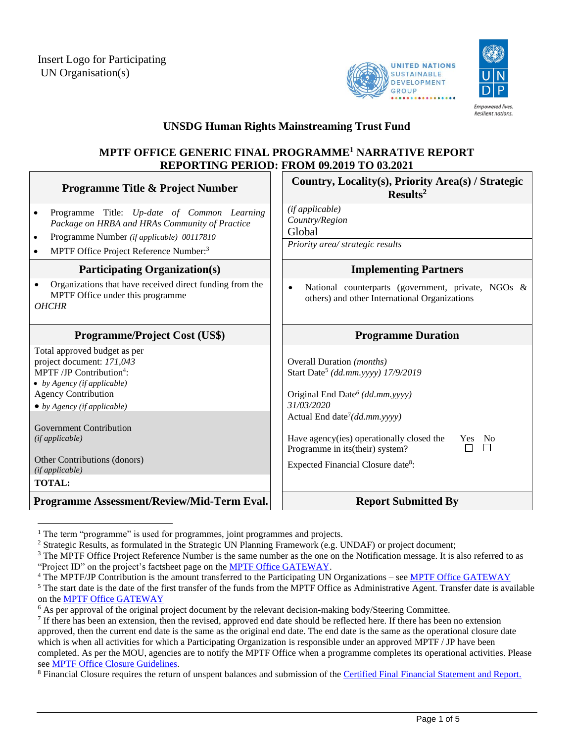



**Empowered lives Resilient nations** 

# **UNSDG Human Rights Mainstreaming Trust Fund**

# **MPTF OFFICE GENERIC FINAL PROGRAMME<sup>1</sup> NARRATIVE REPORT REPORTING PERIOD: FROM 09***.***2019 TO 03.2021**

| <b>Programme Title &amp; Project Number</b>                                                                                                                                                                                                                                                                                  | Country, Locality(s), Priority Area(s) / Strategic<br>Results <sup>2</sup>                                                                                                                                                                                                                                                                                  |
|------------------------------------------------------------------------------------------------------------------------------------------------------------------------------------------------------------------------------------------------------------------------------------------------------------------------------|-------------------------------------------------------------------------------------------------------------------------------------------------------------------------------------------------------------------------------------------------------------------------------------------------------------------------------------------------------------|
| Programme Title: Up-date of Common Learning<br>$\bullet$<br>Package on HRBA and HRAs Community of Practice<br>Programme Number (if applicable) 00117810<br>$\bullet$<br>MPTF Office Project Reference Number: <sup>3</sup><br>$\bullet$                                                                                      | (if applicable)<br>Country/Region<br>Global<br>Priority area/ strategic results                                                                                                                                                                                                                                                                             |
| <b>Participating Organization(s)</b>                                                                                                                                                                                                                                                                                         | <b>Implementing Partners</b>                                                                                                                                                                                                                                                                                                                                |
| Organizations that have received direct funding from the<br>$\bullet$<br>MPTF Office under this programme<br><b>OHCHR</b>                                                                                                                                                                                                    | National counterparts (government, private, NGOs &<br>$\bullet$<br>others) and other International Organizations                                                                                                                                                                                                                                            |
| <b>Programme/Project Cost (US\$)</b>                                                                                                                                                                                                                                                                                         | <b>Programme Duration</b>                                                                                                                                                                                                                                                                                                                                   |
| Total approved budget as per<br>project document: 171,043<br>MPTF/JP Contribution <sup>4</sup> :<br>• by Agency (if applicable)<br><b>Agency Contribution</b><br>$\bullet$ by Agency (if applicable)<br><b>Government Contribution</b><br>(ifappliedble)<br>Other Contributions (donors)<br>(if applicable)<br><b>TOTAL:</b> | Overall Duration (months)<br>Start Date <sup>5</sup> (dd.mm.yyyy) 17/9/2019<br>Original End Date <sup>6</sup> (dd.mm.yyyy)<br>31/03/2020<br>Actual End date <sup>7</sup> ( $dd$ <i>mm</i> .yyyy)<br>Have agency(ies) operationally closed the<br>Yes No<br>$\Box$<br>П<br>Programme in its(their) system?<br>Expected Financial Closure date <sup>8</sup> : |
| Programme Assessment/Review/Mid-Term Eval.                                                                                                                                                                                                                                                                                   | <b>Report Submitted By</b>                                                                                                                                                                                                                                                                                                                                  |
|                                                                                                                                                                                                                                                                                                                              |                                                                                                                                                                                                                                                                                                                                                             |

 $1$  The term "programme" is used for programmes, joint programmes and projects.

<sup>4</sup> The MPTF/JP Contribution is the amount transferred to the Participating UN Organizations – se[e MPTF Office GATEWAY](http://mdtf.undp.org/)

<sup>&</sup>lt;sup>2</sup> Strategic Results, as formulated in the Strategic UN Planning Framework (e.g. UNDAF) or project document;

<sup>&</sup>lt;sup>3</sup> The MPTF Office Project Reference Number is the same number as the one on the Notification message. It is also referred to as "Project ID" on the project's factsheet page on th[e MPTF Office GATEWAY.](http://mdtf.undp.org/)

<sup>&</sup>lt;sup>5</sup> The start date is the date of the first transfer of the funds from the MPTF Office as Administrative Agent. Transfer date is available on th[e MPTF Office GATEWAY](http://mdtf.undp.org/)

 $6$  As per approval of the original project document by the relevant decision-making body/Steering Committee.

If there has been an extension, then the revised, approved end date should be reflected here. If there has been no extension approved, then the current end date is the same as the original end date. The end date is the same as the operational closure date which is when all activities for which a Participating Organization is responsible under an approved MPTF / JP have been completed. As per the MOU, agencies are to notify the MPTF Office when a programme completes its operational activities. Please se[e MPTF Office Closure Guidelines.](http://mdtf.undp.org/document/download/5449)

<sup>&</sup>lt;sup>8</sup> Financial Closure requires the return of unspent balances and submission of th[e Certified Final Financial Statement and Report.](http://mdtf.undp.org/document/download/5388)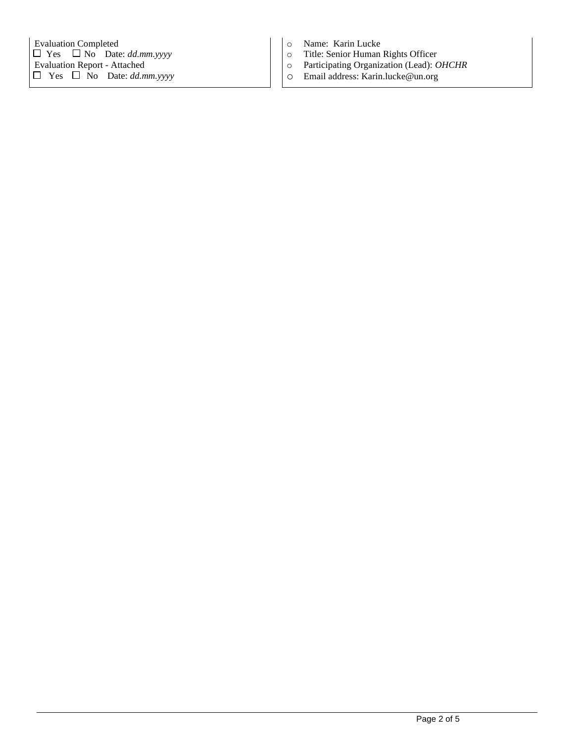- o Name: Karin Lucke
- o Title: Senior Human Rights Officer
- o Participating Organization (Lead): *OHCHR*
- o Email address: Karin.lucke@un.org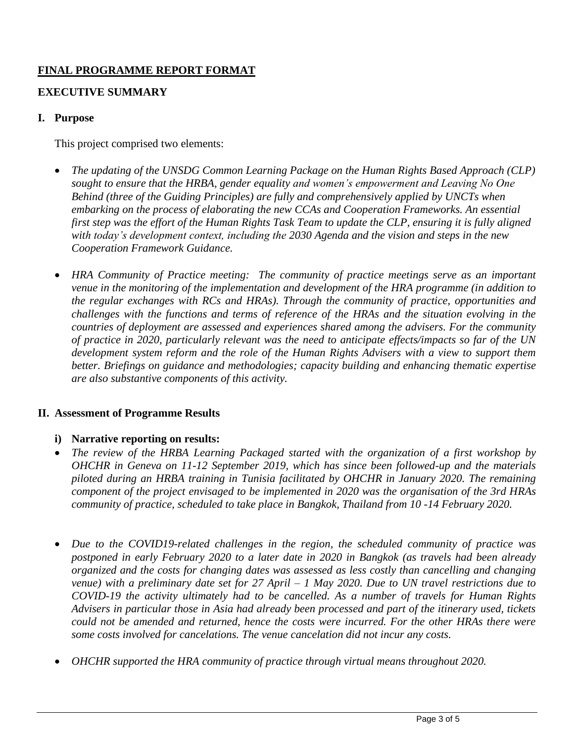# **FINAL PROGRAMME REPORT FORMAT**

# **EXECUTIVE SUMMARY**

### **I. Purpose**

This project comprised two elements:

- *The updating of the UNSDG Common Learning Package on the Human Rights Based Approach (CLP) sought to ensure that the HRBA, gender equality and women's empowerment and Leaving No One Behind (three of the Guiding Principles) are fully and comprehensively applied by UNCTs when embarking on the process of elaborating the new CCAs and Cooperation Frameworks. An essential first step was the effort of the Human Rights Task Team to update the CLP, ensuring it is fully aligned with today's development context, including the 2030 Agenda and the vision and steps in the new Cooperation Framework Guidance.*
- *HRA Community of Practice meeting: The community of practice meetings serve as an important venue in the monitoring of the implementation and development of the HRA programme (in addition to the regular exchanges with RCs and HRAs). Through the community of practice, opportunities and challenges with the functions and terms of reference of the HRAs and the situation evolving in the countries of deployment are assessed and experiences shared among the advisers. For the community of practice in 2020, particularly relevant was the need to anticipate effects/impacts so far of the UN development system reform and the role of the Human Rights Advisers with a view to support them better. Briefings on guidance and methodologies; capacity building and enhancing thematic expertise are also substantive components of this activity.*

#### **II. Assessment of Programme Results**

# **i) Narrative reporting on results:**

- *The review of the HRBA Learning Packaged started with the organization of a first workshop by OHCHR in Geneva on 11-12 September 2019, which has since been followed-up and the materials piloted during an HRBA training in Tunisia facilitated by OHCHR in January 2020. The remaining component of the project envisaged to be implemented in 2020 was the organisation of the 3rd HRAs community of practice, scheduled to take place in Bangkok, Thailand from 10 -14 February 2020.*
- *Due to the COVID19-related challenges in the region, the scheduled community of practice was postponed in early February 2020 to a later date in 2020 in Bangkok (as travels had been already organized and the costs for changing dates was assessed as less costly than cancelling and changing venue) with a preliminary date set for 27 April – 1 May 2020. Due to UN travel restrictions due to COVID-19 the activity ultimately had to be cancelled. As a number of travels for Human Rights Advisers in particular those in Asia had already been processed and part of the itinerary used, tickets could not be amended and returned, hence the costs were incurred. For the other HRAs there were some costs involved for cancelations. The venue cancelation did not incur any costs.*
- *OHCHR supported the HRA community of practice through virtual means throughout 2020.*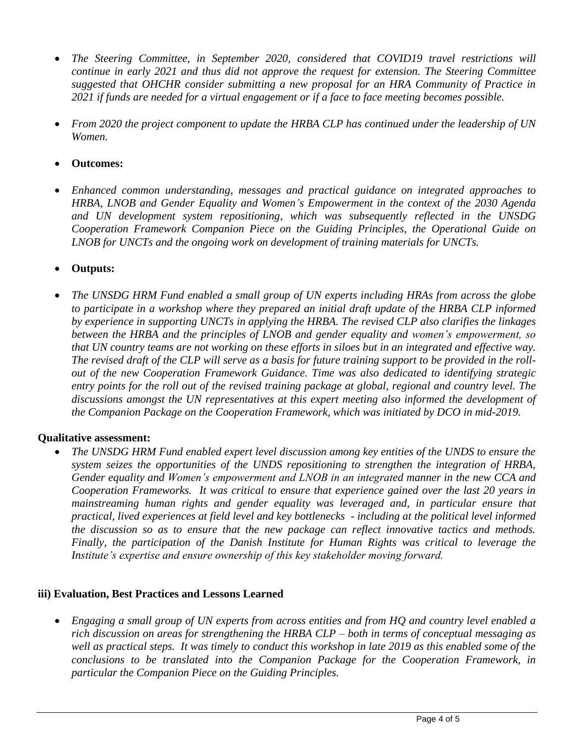- *The Steering Committee, in September 2020, considered that COVID19 travel restrictions will continue in early 2021 and thus did not approve the request for extension. The Steering Committee suggested that OHCHR consider submitting a new proposal for an HRA Community of Practice in 2021 if funds are needed for a virtual engagement or if a face to face meeting becomes possible.*
- *From 2020 the project component to update the HRBA CLP has continued under the leadership of UN Women.*
- **Outcomes:**
- *Enhanced common understanding, messages and practical guidance on integrated approaches to HRBA, LNOB and Gender Equality and Women's Empowerment in the context of the 2030 Agenda and UN development system repositioning, which was subsequently reflected in the UNSDG Cooperation Framework Companion Piece on the Guiding Principles, the Operational Guide on LNOB for UNCTs and the ongoing work on development of training materials for UNCTs.*
- **Outputs:**
- *The UNSDG HRM Fund enabled a small group of UN experts including HRAs from across the globe to participate in a workshop where they prepared an initial draft update of the HRBA CLP informed by experience in supporting UNCTs in applying the HRBA. The revised CLP also clarifies the linkages between the HRBA and the principles of LNOB and gender equality and women's empowerment, so that UN country teams are not working on these efforts in siloes but in an integrated and effective way. The revised draft of the CLP will serve as a basis for future training support to be provided in the rollout of the new Cooperation Framework Guidance. Time was also dedicated to identifying strategic entry points for the roll out of the revised training package at global, regional and country level. The discussions amongst the UN representatives at this expert meeting also informed the development of the Companion Package on the Cooperation Framework, which was initiated by DCO in mid-2019.*

# **Qualitative assessment:**

• *The UNSDG HRM Fund enabled expert level discussion among key entities of the UNDS to ensure the system seizes the opportunities of the UNDS repositioning to strengthen the integration of HRBA, Gender equality and Women's empowerment and LNOB in an integrated manner in the new CCA and Cooperation Frameworks. It was critical to ensure that experience gained over the last 20 years in mainstreaming human rights and gender equality was leveraged and, in particular ensure that practical, lived experiences at field level and key bottlenecks - including at the political level informed the discussion so as to ensure that the new package can reflect innovative tactics and methods. Finally, the participation of the Danish Institute for Human Rights was critical to leverage the Institute's expertise and ensure ownership of this key stakeholder moving forward.*

# **iii) Evaluation, Best Practices and Lessons Learned**

• *Engaging a small group of UN experts from across entities and from HQ and country level enabled a rich discussion on areas for strengthening the HRBA CLP – both in terms of conceptual messaging as well as practical steps. It was timely to conduct this workshop in late 2019 as this enabled some of the conclusions to be translated into the Companion Package for the Cooperation Framework, in particular the Companion Piece on the Guiding Principles.*